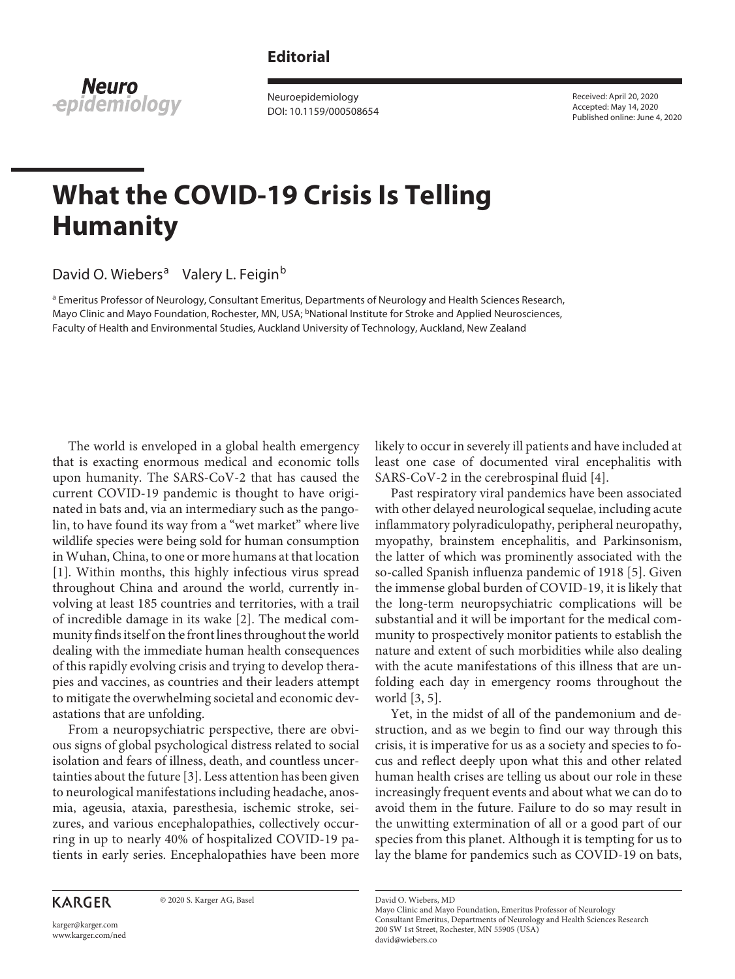## **Editorial**

**Neuro** epidemiology

Neuroepidemiology DOI: 10.1159/000508654 Received: April 20, 2020 Accepted: May 14, 2020 Published online: June 4, 2020

## **What the COVID-19 Crisis Is Telling Humanity**

David O. Wiebers<sup>a</sup> Valery L. Feigin<sup>b</sup>

<sup>a</sup> Emeritus Professor of Neurology, Consultant Emeritus, Departments of Neurology and Health Sciences Research, Mayo Clinic and Mayo Foundation, Rochester, MN, USA; <sup>b</sup>National Institute for Stroke and Applied Neurosciences, Faculty of Health and Environmental Studies, Auckland University of Technology, Auckland, New Zealand

<span id="page-0-0"></span>The world is enveloped in a global health emergency that is exacting enormous medical and economic tolls upon humanity. The SARS-CoV-2 that has caused the current COVID-19 pandemic is thought to have originated in bats and, via an intermediary such as the pangolin, to have found its way from a "wet market" where live wildlife species were being sold for human consumption in Wuhan, China, to one or more humans at that location [\[1\]](#page-2-0). Within months, this highly infectious virus spread throughout China and around the world, currently involving at least 185 countries and territories, with a trail of incredible damage in its wake [[2](#page-2-1)]. The medical community finds itself on the front lines throughout the world dealing with the immediate human health consequences of this rapidly evolving crisis and trying to develop therapies and vaccines, as countries and their leaders attempt to mitigate the overwhelming societal and economic devastations that are unfolding.

<span id="page-0-2"></span><span id="page-0-1"></span>From a neuropsychiatric perspective, there are obvious signs of global psychological distress related to social isolation and fears of illness, death, and countless uncertainties about the future [\[3](#page-2-2)]. Less attention has been given to neurological manifestations including headache, anosmia, ageusia, ataxia, paresthesia, ischemic stroke, seizures, and various encephalopathies, collectively occurring in up to nearly 40% of hospitalized COVID-19 patients in early series. Encephalopathies have been more

## **KARGER**

© 2020 S. Karger AG, Basel

likely to occur in severely ill patients and have included at least one case of documented viral encephalitis with SARS-CoV-2 in the cerebrospinal fluid [\[4](#page-2-3)].

<span id="page-0-4"></span><span id="page-0-3"></span>Past respiratory viral pandemics have been associated with other delayed neurological sequelae, including acute inflammatory polyradiculopathy, peripheral neuropathy, myopathy, brainstem encephalitis, and Parkinsonism, the latter of which was prominently associated with the so-called Spanish influenza pandemic of 1918 [[5](#page-3-0)]. Given the immense global burden of COVID-19, it is likely that the long-term neuropsychiatric complications will be substantial and it will be important for the medical community to prospectively monitor patients to establish the nature and extent of such morbidities while also dealing with the acute manifestations of this illness that are unfolding each day in emergency rooms throughout the world [\[3](#page-2-2), [5\]](#page-3-0).

Yet, in the midst of all of the pandemonium and destruction, and as we begin to find our way through this crisis, it is imperative for us as a society and species to focus and reflect deeply upon what this and other related human health crises are telling us about our role in these increasingly frequent events and about what we can do to avoid them in the future. Failure to do so may result in the unwitting extermination of all or a good part of our species from this planet. Although it is tempting for us to lay the blame for pandemics such as COVID-19 on bats,

David O. Wiebers, MD

karger@karger.com www.karger.com/ned

Mayo Clinic and Mayo Foundation, Emeritus Professor of Neurology Consultant Emeritus, Departments of Neurology and Health Sciences Research 200 SW 1st Street, Rochester, MN 55905 (USA) david@wiebers.co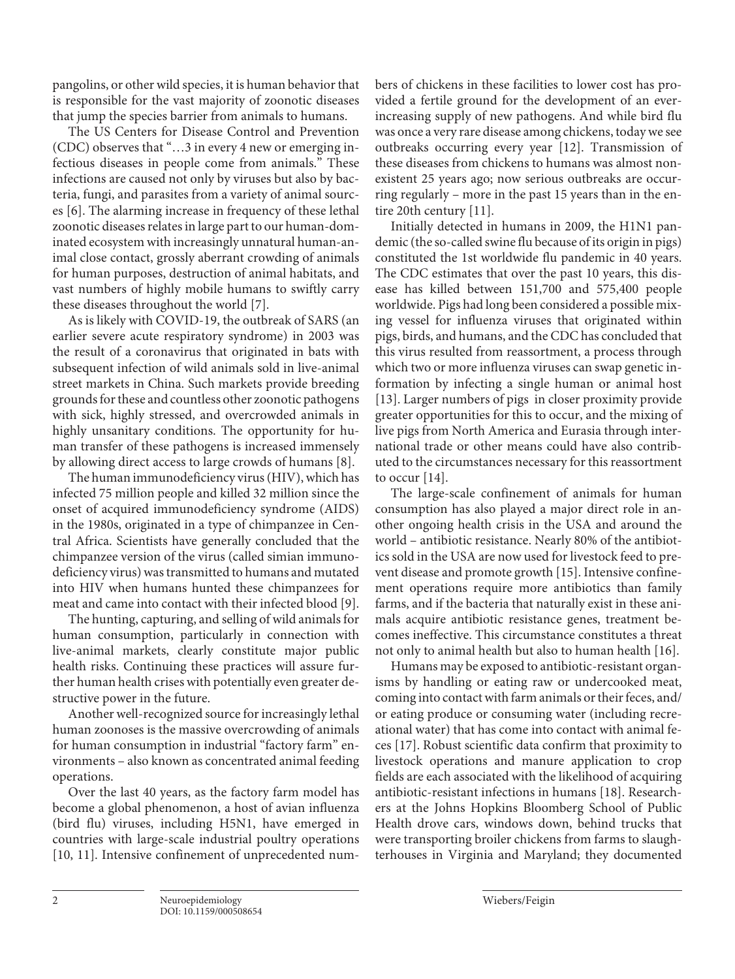pangolins, or other wild species, it is human behavior that is responsible for the vast majority of zoonotic diseases that jump the species barrier from animals to humans.

<span id="page-1-0"></span>The US Centers for Disease Control and Prevention (CDC) observes that "…3 in every 4 new or emerging infectious diseases in people come from animals." These infections are caused not only by viruses but also by bacteria, fungi, and parasites from a variety of animal sources [[6\]](#page-3-1). The alarming increase in frequency of these lethal zoonotic diseases relates in large part to our human-dominated ecosystem with increasingly unnatural human-animal close contact, grossly aberrant crowding of animals for human purposes, destruction of animal habitats, and vast numbers of highly mobile humans to swiftly carry these diseases throughout the world [[7](#page-3-2)].

<span id="page-1-1"></span>As is likely with COVID-19, the outbreak of SARS (an earlier severe acute respiratory syndrome) in 2003 was the result of a coronavirus that originated in bats with subsequent infection of wild animals sold in live-animal street markets in China. Such markets provide breeding grounds for these and countless other zoonotic pathogens with sick, highly stressed, and overcrowded animals in highly unsanitary conditions. The opportunity for human transfer of these pathogens is increased immensely by allowing direct access to large crowds of humans [\[8](#page-3-3)].

<span id="page-1-2"></span>The human immunodeficiency virus (HIV), which has infected 75 million people and killed 32 million since the onset of acquired immunodeficiency syndrome (AIDS) in the 1980s, originated in a type of chimpanzee in Central Africa. Scientists have generally concluded that the chimpanzee version of the virus (called simian immunodeficiency virus) was transmitted to humans and mutated into HIV when humans hunted these chimpanzees for meat and came into contact with their infected blood [[9\]](#page-3-4).

<span id="page-1-3"></span>The hunting, capturing, and selling of wild animals for human consumption, particularly in connection with live-animal markets, clearly constitute major public health risks. Continuing these practices will assure further human health crises with potentially even greater destructive power in the future.

Another well-recognized source for increasingly lethal human zoonoses is the massive overcrowding of animals for human consumption in industrial "factory farm" environments – also known as concentrated animal feeding operations.

<span id="page-1-4"></span>Over the last 40 years, as the factory farm model has become a global phenomenon, a host of avian influenza (bird flu) viruses, including H5N1, have emerged in countries with large-scale industrial poultry operations [\[10](#page-2-0), [11](#page-2-0)]. Intensive confinement of unprecedented num<span id="page-1-5"></span>bers of chickens in these facilities to lower cost has provided a fertile ground for the development of an everincreasing supply of new pathogens. And while bird flu was once a very rare disease among chickens, today we see outbreaks occurring every year [[1](#page-2-0)[2](#page-2-1)]. Transmission of these diseases from chickens to humans was almost nonexistent 25 years ago; now serious outbreaks are occurring regularly – more in the past 15 years than in the entire 20th century [[11](#page-2-0)].

Initially detected in humans in 2009, the H1N1 pandemic (the so-called swine flu because of its origin in pigs) constituted the 1st worldwide flu pandemic in 40 years. The CDC estimates that over the past 10 years, this disease has killed between 151,700 and 575,400 people worldwide. Pigs had long been considered a possible mixing vessel for influenza viruses that originated within pigs, birds, and humans, and the CDC has concluded that this virus resulted from reassortment, a process through which two or more influenza viruses can swap genetic information by infecting a single human or animal host [[1](#page-2-0)[3](#page-2-2)]. Larger numbers of pigs in closer proximity provide greater opportunities for this to occur, and the mixing of live pigs from North America and Eurasia through international trade or other means could have also contributed to the circumstances necessary for this reassortment to occur [[1](#page-2-0)[4](#page-2-3)].

<span id="page-1-6"></span>The large-scale confinement of animals for human consumption has also played a major direct role in another ongoing health crisis in the USA and around the world – antibiotic resistance. Nearly 80% of the antibiotics sold in the USA are now used for livestock feed to prevent disease and promote growth [\[1](#page-2-0)[5\]](#page-3-0). Intensive confinement operations require more antibiotics than family farms, and if the bacteria that naturally exist in these animals acquire antibiotic resistance genes, treatment becomes ineffective. This circumstance constitutes a threat not only to animal health but also to human health [[1](#page-2-0)[6\]](#page-3-1).

Humans may be exposed to antibiotic-resistant organisms by handling or eating raw or undercooked meat, coming into contact with farm animals or their feces, and/ or eating produce or consuming water (including recreational water) that has come into contact with animal feces [[1](#page-2-0)[7](#page-3-2)]. Robust scientific data confirm that proximity to livestock operations and manure application to crop fields are each associated with the likelihood of acquiring antibiotic-resistant infections in humans [[1](#page-2-0)[8](#page-3-3)]. Researchers at the Johns Hopkins Bloomberg School of Public Health drove cars, windows down, behind trucks that were transporting broiler chickens from farms to slaughterhouses in Virginia and Maryland; they documented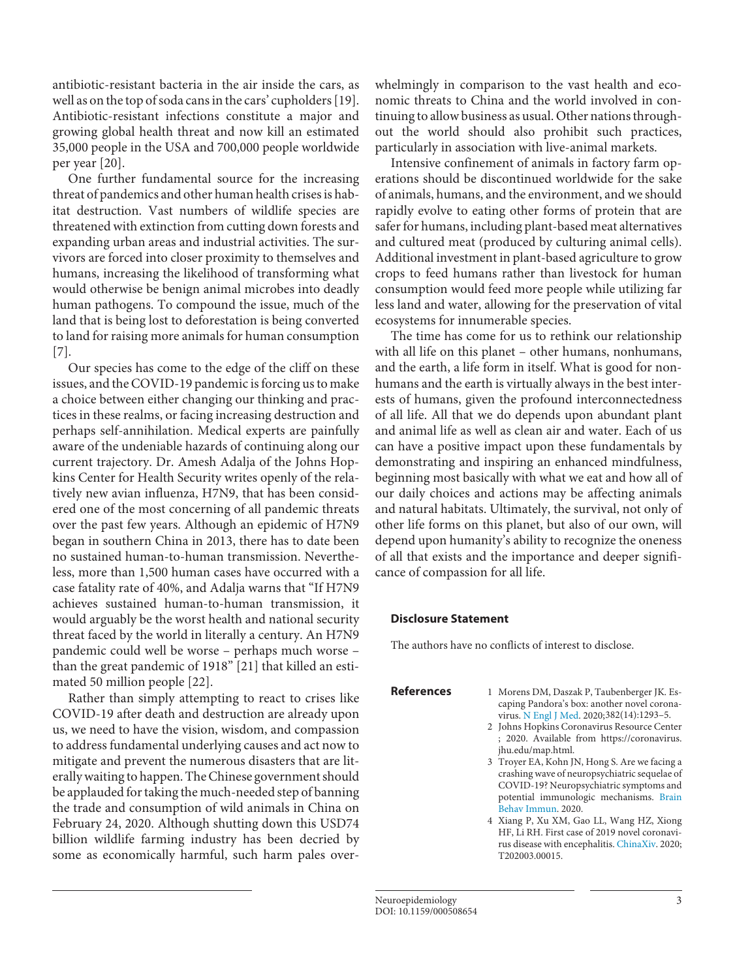antibiotic-resistant bacteria in the air inside the cars, as well as on the top of soda cans in the cars' cupholders [\[1](#page-2-0)[9\]](#page-3-4). Antibiotic-resistant infections constitute a major and growing global health threat and now kill an estimated 35,000 people in the USA and 700,000 people worldwide per year [\[20](#page-2-1)].

One further fundamental source for the increasing threat of pandemics and other human health crises is habitat destruction. Vast numbers of wildlife species are threatened with extinction from cutting down forests and expanding urban areas and industrial activities. The survivors are forced into closer proximity to themselves and humans, increasing the likelihood of transforming what would otherwise be benign animal microbes into deadly human pathogens. To compound the issue, much of the land that is being lost to deforestation is being converted to land for raising more animals for human consumption [\[7\]](#page-3-2).

Our species has come to the edge of the cliff on these issues, and the COVID-19 pandemic is forcing us to make a choice between either changing our thinking and practices in these realms, or facing increasing destruction and perhaps self-annihilation. Medical experts are painfully aware of the undeniable hazards of continuing along our current trajectory. Dr. Amesh Adalja of the Johns Hopkins Center for Health Security writes openly of the relatively new avian influenza, H7N9, that has been considered one of the most concerning of all pandemic threats over the past few years. Although an epidemic of H7N9 began in southern China in 2013, there has to date been no sustained human-to-human transmission. Nevertheless, more than 1,500 human cases have occurred with a case fatality rate of 40%, and Adalja warns that "If H7N9 achieves sustained human-to-human transmission, it would arguably be the worst health and national security threat faced by the world in literally a century. An H7N9 pandemic could well be worse – perhaps much worse – than the great pandemic of 1918" [\[2](#page-2-1)[1\]](#page-2-0) that killed an estimated 50 million people [[22](#page-2-1)].

Rather than simply attempting to react to crises like COVID-19 after death and destruction are already upon us, we need to have the vision, wisdom, and compassion to address fundamental underlying causes and act now to mitigate and prevent the numerous disasters that are literally waiting to happen. The Chinese government should be applauded for taking the much-needed step of banning the trade and consumption of wild animals in China on February 24, 2020. Although shutting down this USD74 billion wildlife farming industry has been decried by some as economically harmful, such harm pales overwhelmingly in comparison to the vast health and economic threats to China and the world involved in continuing to allow business as usual. Other nations throughout the world should also prohibit such practices, particularly in association with live-animal markets.

Intensive confinement of animals in factory farm operations should be discontinued worldwide for the sake of animals, humans, and the environment, and we should rapidly evolve to eating other forms of protein that are safer for humans, including plant-based meat alternatives and cultured meat (produced by culturing animal cells). Additional investment in plant-based agriculture to grow crops to feed humans rather than livestock for human consumption would feed more people while utilizing far less land and water, allowing for the preservation of vital ecosystems for innumerable species.

The time has come for us to rethink our relationship with all life on this planet – other humans, nonhumans, and the earth, a life form in itself. What is good for nonhumans and the earth is virtually always in the best interests of humans, given the profound interconnectedness of all life. All that we do depends upon abundant plant and animal life as well as clean air and water. Each of us can have a positive impact upon these fundamentals by demonstrating and inspiring an enhanced mindfulness, beginning most basically with what we eat and how all of our daily choices and actions may be affecting animals and natural habitats. Ultimately, the survival, not only of other life forms on this planet, but also of our own, will depend upon humanity's ability to recognize the oneness of all that exists and the importance and deeper significance of compassion for all life.

## **Disclosure Statement**

**References** 

The authors have no conflicts of interest to disclose.

<span id="page-2-0"></span>

| 1 Morens DM, Daszak P, Taubenberger JK. Es- |
|---------------------------------------------|
| caping Pandora's box: another novel corona- |
| virus. N Engl J Med. 2020;382(14):1293-5.   |

- <span id="page-2-1"></span>[2](#page-0-1) Johns Hopkins Coronavirus Resource Center ; 2020. Available from https://coronavirus. jhu.edu/map.html.
- <span id="page-2-2"></span>[3](#page-0-2) Troyer EA, Kohn JN, Hong S. Are we facing a crashing wave of neuropsychiatric sequelae of COVID-19? Neuropsychiatric symptoms and potential immunologic mechanisms. [Brain](https://www.karger.com/Article/FullText/508654?ref=3#ref3)  [Behav Immun](https://www.karger.com/Article/FullText/508654?ref=3#ref3). 2020.
- <span id="page-2-3"></span>[4](#page-0-3) Xiang P, Xu XM, Gao LL, Wang HZ, Xiong HF, Li RH. First case of 2019 novel coronavirus disease with encephalitis. [ChinaXiv.](https://www.karger.com/Article/FullText/508654?ref=4#ref4) 2020; T202003.00015.